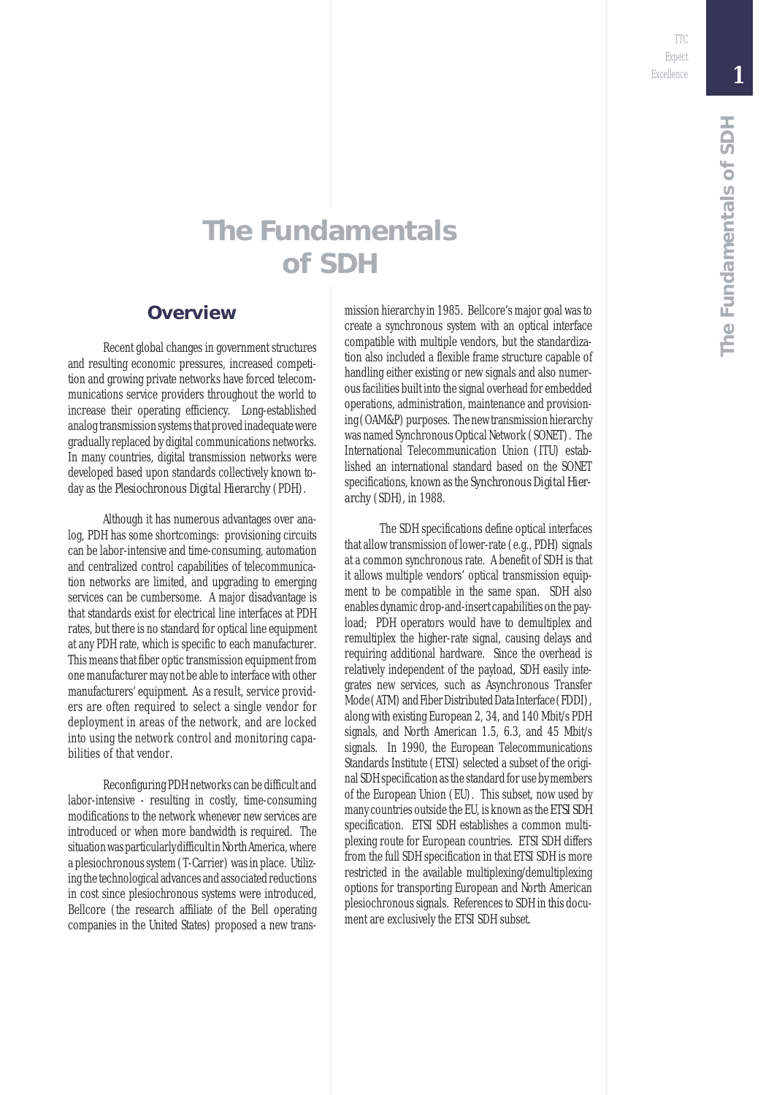TTC Expect Excellence

### **The Fundamentals of SDH**

#### **Overview**

Recent global changes in government structures and resulting economic pressures, increased competition and growing private networks have forced telecommunications service providers throughout the world to increase their operating efficiency. Long-established analog transmission systems that proved inadequate were gradually replaced by digital communications networks. In many countries, digital transmission networks were developed based upon standards collectively known today as the *Plesiochronous Digital Hierarchy* (PDH).

Although it has numerous advantages over analog, PDH has some shortcomings: provisioning circuits can be labor-intensive and time-consuming, automation and centralized control capabilities of telecommunication networks are limited, and upgrading to emerging services can be cumbersome. A major disadvantage is that standards exist for electrical line interfaces at PDH rates, but there is no standard for optical line equipment at any PDH rate, which is specific to each manufacturer. This means that fiber optic transmission equipment from one manufacturer may not be able to interface with other manufacturers' equipment. As a result, service providers are often required to select a single vendor for deployment in areas of the network, and are locked into using the network control and monitoring capabilities of that vendor.

Reconfiguring PDH networks can be difficult and labor-intensive - resulting in costly, time-consuming modifications to the network whenever new services are introduced or when more bandwidth is required. The situation was particularly difficult in North America, where a plesiochronous system (T-Carrier) was in place. Utilizing the technological advances and associated reductions in cost since plesiochronous systems were introduced, Bellcore (the research affiliate of the Bell operating companies in the United States) proposed a new transmission hierarchy in 1985. Bellcore's major goal was to create a synchronous system with an optical interface compatible with multiple vendors, but the standardization also included a flexible frame structure capable of handling either existing or new signals and also numerous facilities built into the signal overhead for embedded operations, administration, maintenance and provisioning (OAM&P) purposes. The new transmission hierarchy was named Synchronous Optical Network (SONET). The International Telecommunication Union (ITU) established an international standard based on the SONET specifications, known as the *Synchronous Digital Hierarchy* (SDH), in 1988.

The SDH specifications define optical interfaces that allow transmission of lower-rate (e.g., PDH) signals at a common synchronous rate. A benefit of SDH is that it allows multiple vendors' optical transmission equipment to be compatible in the same span. SDH also enables dynamic drop-and-insert capabilities on the payload; PDH operators would have to demultiplex and remultiplex the higher-rate signal, causing delays and requiring additional hardware. Since the overhead is relatively independent of the payload, SDH easily integrates new services, such as Asynchronous Transfer Mode (ATM) and Fiber Distributed Data Interface (FDDI), along with existing European 2, 34, and 140 Mbit/s PDH signals, and North American 1.5, 6.3, and 45 Mbit/s signals. In 1990, the European Telecommunications Standards Institute (ETSI) selected a subset of the original SDH specification as the standard for use by members of the European Union (EU). This subset, now used by many countries outside the EU, is known as the *ETSI SDH* specification. ETSI SDH establishes a common multiplexing route for European countries. ETSI SDH differs from the full SDH specification in that ETSI SDH is more restricted in the available multiplexing/demultiplexing options for transporting European and North American plesiochronous signals. References to SDH in this document are exclusively the ETSI SDH subset.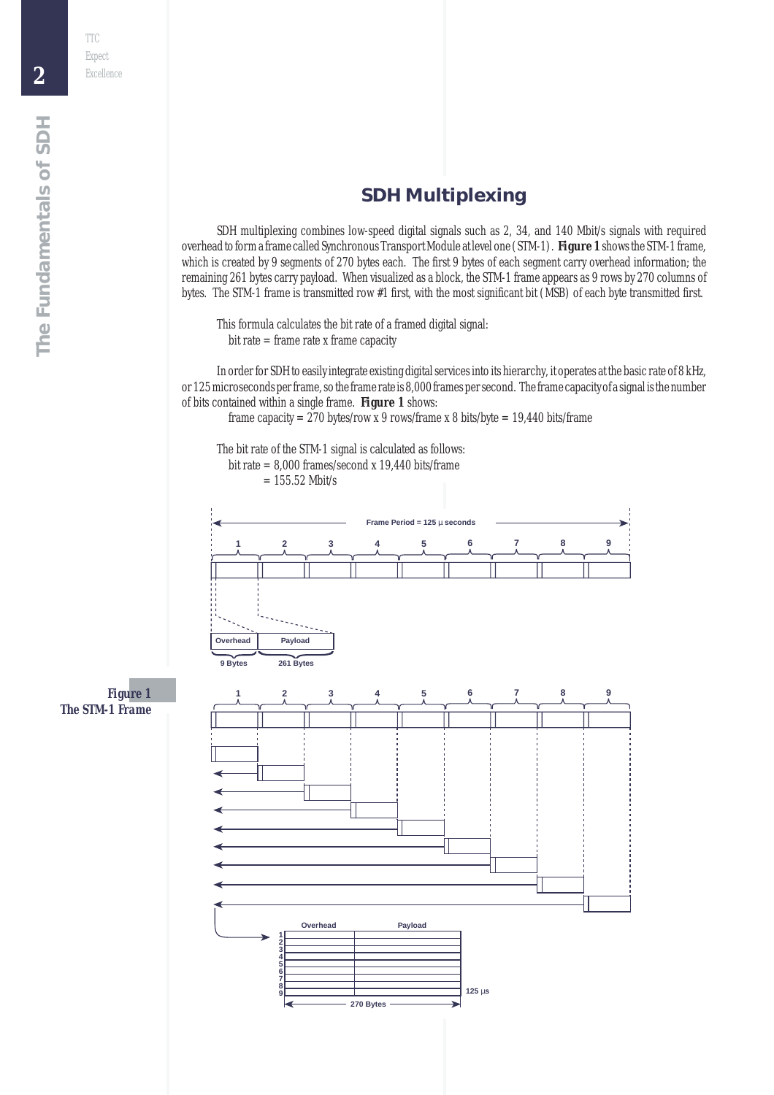#### **SDH Multiplexing**

SDH multiplexing combines low-speed digital signals such as 2, 34, and 140 Mbit/s signals with required overhead to form a frame called Synchronous Transport Module at level one (STM-1). *Figure 1* shows the STM-1 frame, which is created by 9 segments of 270 bytes each. The first 9 bytes of each segment carry overhead information; the remaining 261 bytes carry payload. When visualized as a block, the STM-1 frame appears as 9 rows by 270 columns of bytes. The STM-1 frame is transmitted row #1 first, with the most significant bit (MSB) of each byte transmitted first.

This formula calculates the bit rate of a framed digital signal:  $bit rate = frame rate x frame capacity$ 

In order for SDH to easily integrate existing digital services into its hierarchy, it operates at the basic rate of 8 kHz, or 125 microseconds per frame, so the frame rate is 8,000 frames per second. The frame capacity of a signal is the number of bits contained within a single frame. *Figure 1* shows:

frame capacity =  $270$  bytes/row x 9 rows/frame x 8 bits/byte = 19,440 bits/frame

The bit rate of the STM-1 signal is calculated as follows: bit rate  $= 8,000$  frames/second x 19,440 bits/frame

 $= 155.52$  Mbit/s



*Figure 1 The STM-1 Frame*

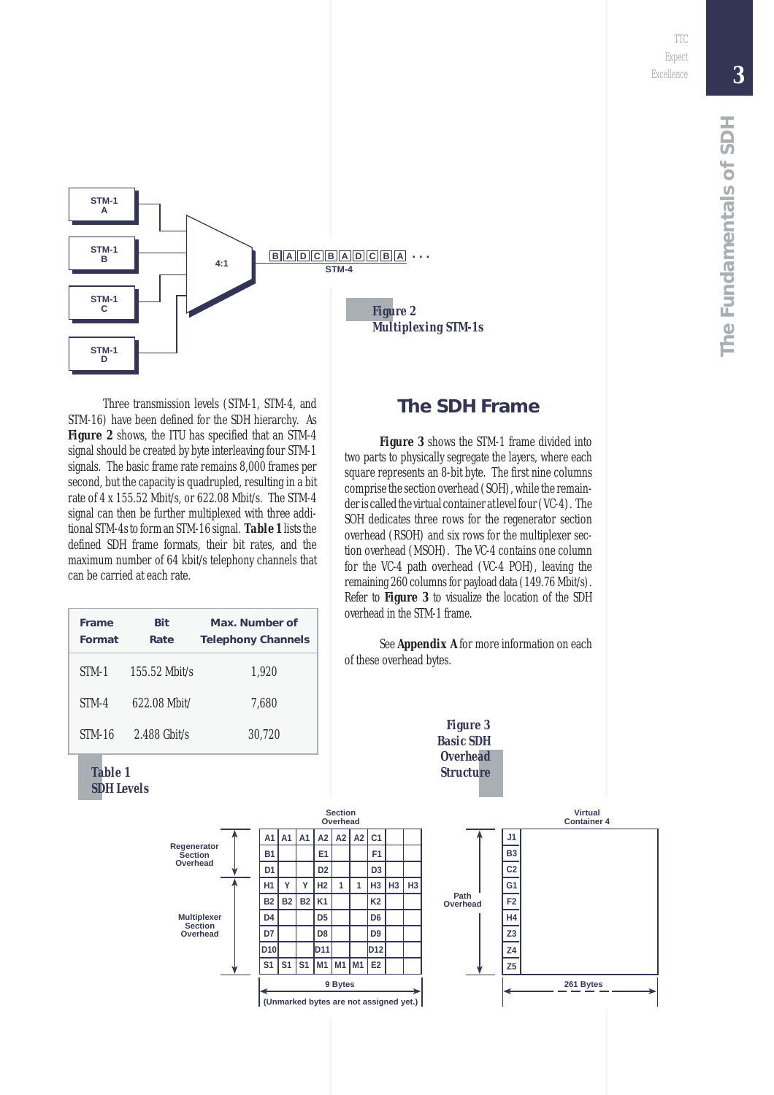*3*



Three transmission levels (STM-1, STM-4, and STM-16) have been defined for the SDH hierarchy. As **Figure 2** shows, the ITU has specified that an STM-4 signal should be created by byte interleaving four STM-1 signals. The basic frame rate remains 8,000 frames per second, but the capacity is quadrupled, resulting in a bit rate of 4 x 155.52 Mbit/s, or 622.08 Mbit/s. The STM-4 signal can then be further multiplexed with three additional STM-4s to form an STM-16 signal. *Table 1* lists the defined SDH frame formats, their bit rates, and the maximum number of 64 kbit/s telephony channels that can be carried at each rate.

| Frame<br>Format | Bit<br>Rate     | Max. Number of<br><b>Telephony Channels</b> |
|-----------------|-----------------|---------------------------------------------|
| STM-1           | $155.52$ Mbit/s | 1.920                                       |
| STM-4           | 622.08 Mhit/    | 7.680                                       |
| <b>STM-16</b>   | $2.488$ Ghit/s  | 30.720                                      |



**The SDH Frame**

*Figure 3* shows the STM-1 frame divided into two parts to physically segregate the layers, where each square represents an 8-bit byte. The first nine columns comprise the section overhead (SOH), while the remainder is called the virtual container at level four (VC-4). The SOH dedicates three rows for the regenerator section overhead (RSOH) and six rows for the multiplexer section overhead (MSOH). The VC-4 contains one column for the VC-4 path overhead (VC-4 POH), leaving the remaining 260 columns for payload data (149.76 Mbit/s). Refer to *Figure 3* to visualize the location of the SDH overhead in the STM-1 frame.

See *Appendix A* for more information on each of these overhead bytes.

> *Figure 3 Basic SDH Overhead Structure*

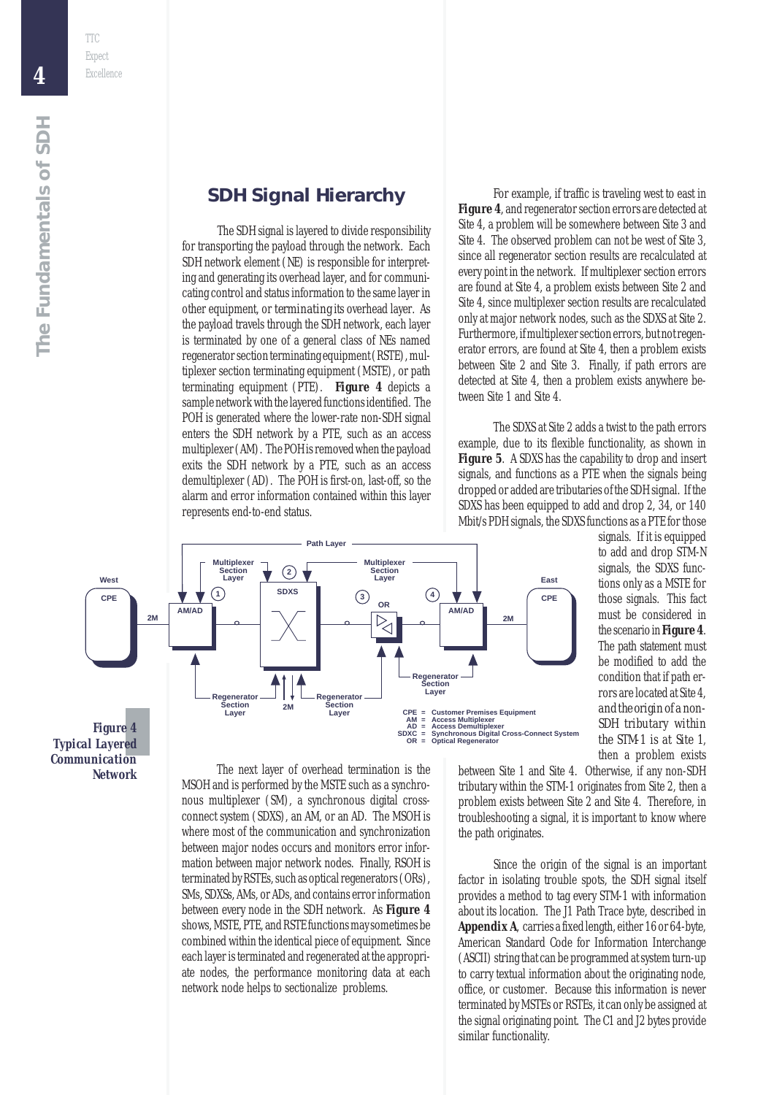The SDH signal is layered to divide responsibility for transporting the payload through the network. Each SDH network element (NE) is responsible for interpreting and generating its overhead layer, and for communicating control and status information to the same layer in other equipment, or *terminating* its overhead layer. As the payload travels through the SDH network, each layer is terminated by one of a general class of NEs named regenerator section terminating equipment (RSTE), multiplexer section terminating equipment (MSTE), or path terminating equipment (PTE). *Figure 4* depicts a sample network with the layered functions identified. The POH is generated where the lower-rate non-SDH signal enters the SDH network by a PTE, such as an access multiplexer (AM). The POH is removed when the payload exits the SDH network by a PTE, such as an access demultiplexer (AD). The POH is first-on, last-off, so the alarm and error information contained within this layer represents end-to-end status.

For example, if traffic is traveling west to east in *Figure 4*, and regenerator section errors are detected at Site 4, a problem will be somewhere between Site 3 and Site 4. The observed problem can not be west of Site 3, since all regenerator section results are recalculated at every point in the network. If multiplexer section errors are found at Site 4, a problem exists between Site 2 and Site 4, since multiplexer section results are recalculated only at major network nodes, such as the SDXS at Site 2. Furthermore, if multiplexer section errors, but not regenerator errors, are found at Site 4, then a problem exists between Site 2 and Site 3. Finally, if path errors are detected at Site 4, then a problem exists anywhere between Site 1 and Site 4.

The SDXS at Site 2 adds a twist to the path errors example, due to its flexible functionality, as shown in *Figure 5.* A SDXS has the capability to drop and insert signals, and functions as a PTE when the signals being dropped or added are tributaries of the SDH signal. If the SDXS has been equipped to add and drop 2, 34, or 140 Mbit/s PDH signals, the SDXS functions as a PTE for those

signals. If it is equipped to add and drop STM-N signals, the SDXS functions only as a MSTE for those signals. This fact must be considered in the scenario in *Figure 4*. The path statement must be modified to add the condition that if path errors are located at Site 4, *and the origin of a non-SDH tributary within the STM-1 is at Site 1*, then a problem exists

*Figure 4 Typical Layered Communication Network*

The next layer of overhead termination is the MSOH and is performed by the MSTE such as a synchronous multiplexer (SM), a synchronous digital crossconnect system (SDXS), an AM, or an AD. The MSOH is where most of the communication and synchronization between major nodes occurs and monitors error information between major network nodes. Finally, RSOH is terminated by RSTEs, such as optical regenerators (ORs), SMs, SDXSs, AMs, or ADs, and contains error information between every node in the SDH network. As *Figure 4* shows, MSTE, PTE, and RSTE functions may sometimes be combined within the identical piece of equipment. Since each layer is terminated and regenerated at the appropriate nodes, the performance monitoring data at each network node helps to sectionalize problems.

between Site 1 and Site 4. Otherwise, if any non-SDH tributary within the STM-1 originates from Site 2, then a problem exists between Site 2 and Site 4. Therefore, in troubleshooting a signal, it is important to know where the path originates.

Since the origin of the signal is an important factor in isolating trouble spots, the SDH signal itself provides a method to tag every STM-1 with information about its location. The J1 Path Trace byte, described in *Appendix A*, carries a fixed length, either 16 or 64-byte, American Standard Code for Information Interchange (ASCII) string that can be programmed at system turn-up to carry textual information about the originating node, office, or customer. Because this information is never terminated by MSTEs or RSTEs, it can only be assigned at the signal originating point. The C1 and J2 bytes provide similar functionality.

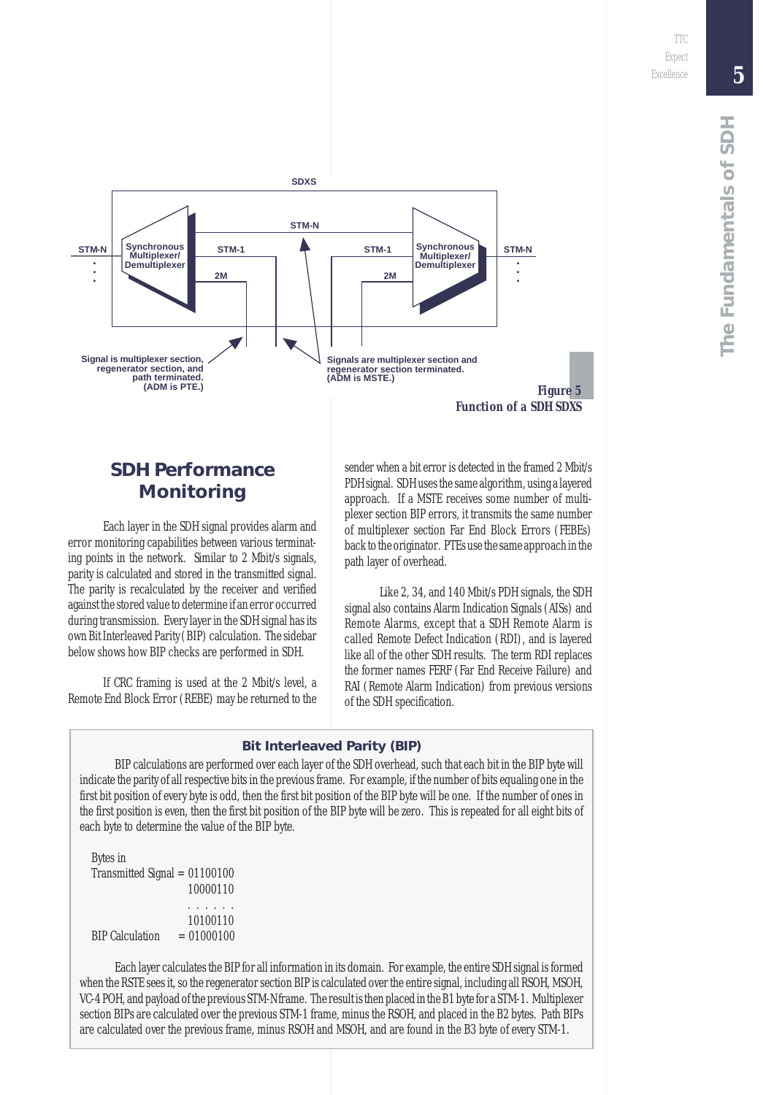

#### **SDH Performance Monitoring**

Each layer in the SDH signal provides alarm and error monitoring capabilities between various terminating points in the network. Similar to 2 Mbit/s signals, parity is calculated and stored in the transmitted signal. The parity is recalculated by the receiver and verified against the stored value to determine if an error occurred during transmission. Every layer in the SDH signal has its own Bit Interleaved Parity (BIP) calculation. The sidebar below shows how BIP checks are performed in SDH.

If CRC framing is used at the 2 Mbit/s level, a Remote End Block Error (REBE) may be returned to the sender when a bit error is detected in the framed 2 Mbit/s PDH signal. SDH uses the same algorithm, using a layered approach. If a MSTE receives some number of multiplexer section BIP errors, it transmits the same number of multiplexer section Far End Block Errors (FEBEs) back to the originator. PTEs use the same approach in the path layer of overhead.

Like 2, 34, and 140 Mbit/s PDH signals, the SDH signal also contains Alarm Indication Signals (AISs) and Remote Alarms, except that a SDH Remote Alarm is called Remote Defect Indication (RDI), and is layered like all of the other SDH results. The term RDI replaces the former names FERF (Far End Receive Failure) and RAI (Remote Alarm Indication) from previous versions of the SDH specification.

#### **Bit Interleaved Parity (BIP)**

BIP calculations are performed over each layer of the SDH overhead, such that each bit in the BIP byte will indicate the parity of all respective bits in the previous frame. For example, if the number of bits equaling one in the first bit position of every byte is odd, then the first bit position of the BIP byte will be one. If the number of ones in the first position is even, then the first bit position of the BIP byte will be zero. This is repeated for all eight bits of each byte to determine the value of the BIP byte.

Bytes in Transmitted Signal = 01100100 10000110 . . . . . . 10100110  $BIP$  Calculation  $= 01000100$ 

Each layer calculates the BIP for all information in its domain. For example, the entire SDH signal is formed when the RSTE sees it, so the regenerator section BIP is calculated over the entire signal, including all RSOH, MSOH, VC-4 POH, and payload of the previous STM-N frame. The result is then placed in the B1 byte for a STM-1. Multiplexer section BIPs are calculated over the previous STM-1 frame, minus the RSOH, and placed in the B2 bytes. Path BIPs are calculated over the previous frame, minus RSOH and MSOH, and are found in the B3 byte of every STM-1.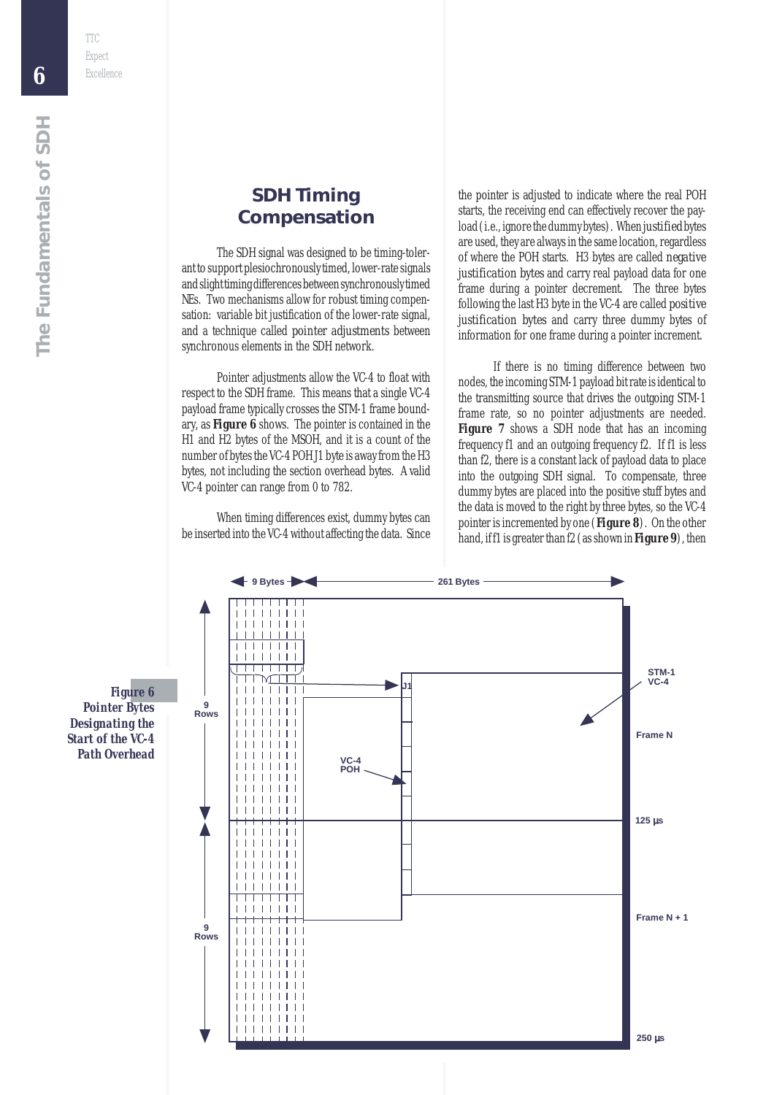TTC

#### **SDH Timing Compensation**

The SDH signal was designed to be timing-tolerant to support plesiochronously timed, lower-rate signals and slight timing differences between synchronously timed NEs. Two mechanisms allow for robust timing compensation: variable bit justification of the lower-rate signal, and a technique called *pointer adjustments* between synchronous elements in the SDH network.

Pointer adjustments allow the VC-4 to float with respect to the SDH frame. This means that a single VC-4 payload frame typically crosses the STM-1 frame boundary, as *Figure 6* shows. The pointer is contained in the H1 and H2 bytes of the MSOH, and it is a count of the number of bytes the VC-4 POH J1 byte is away from the H3 bytes, not including the section overhead bytes. A valid VC-4 pointer can range from 0 to 782.

When timing differences exist, dummy bytes can be inserted into the VC-4 without affecting the data. Since

the pointer is adjusted to indicate where the real POH starts, the receiving end can effectively recover the payload (i.e., ignore the dummy bytes). When *justified* bytes are used, they are always in the same location, regardless of where the POH starts. H3 bytes are called *negative justification bytes* and carry real payload data for one frame during a pointer decrement. The three bytes following the last H3 byte in the VC-4 are called *positive justification bytes* and carry three dummy bytes of information for one frame during a pointer increment.

If there is no timing difference between two nodes, the incoming STM-1 payload bit rate is identical to the transmitting source that drives the outgoing STM-1 frame rate, so no pointer adjustments are needed. **Figure** 7 shows a SDH node that has an incoming frequency f1 and an outgoing frequency f2. If f1 is less than f2, there is a constant lack of payload data to place into the outgoing SDH signal. To compensate, three dummy bytes are placed into the positive stuff bytes and the data is moved to the right by three bytes, so the VC-4 pointer is incremented by one (*Figure 8*). On the other hand, if f1 is greater than f2 (as shown in *Figure 9*), then



*Figure 6 Pointer Bytes Designating the Start of the VC-4 Path Overhead*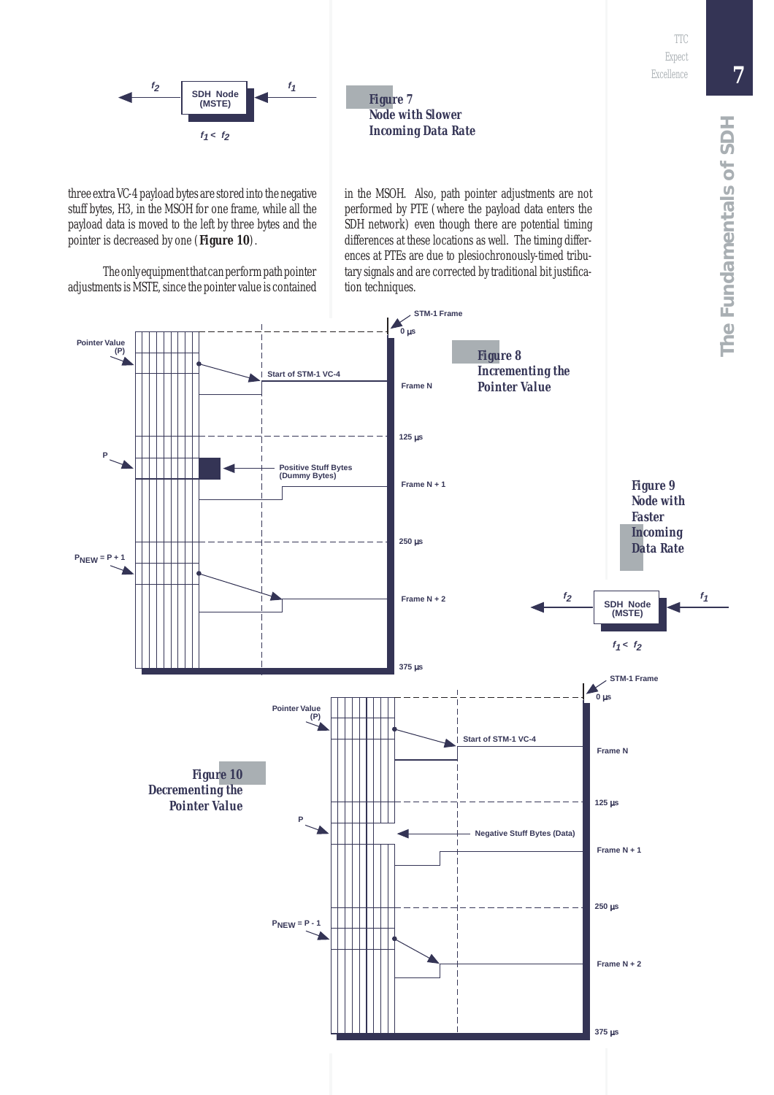

*Figure 7 Node with Slower Incoming Data Rate*

three extra VC-4 payload bytes are stored into the negative stuff bytes, H3, in the MSOH for one frame, while all the payload data is moved to the left by three bytes and the pointer is decreased by one (*Figure 10*).

The only equipment that can perform path pointer adjustments is MSTE, since the pointer value is contained in the MSOH. Also, path pointer adjustments are not performed by PTE (where the payload data enters the SDH network) even though there are potential timing differences at these locations as well. The timing differences at PTEs are due to plesiochronously-timed tributary signals and are corrected by traditional bit justification techniques.

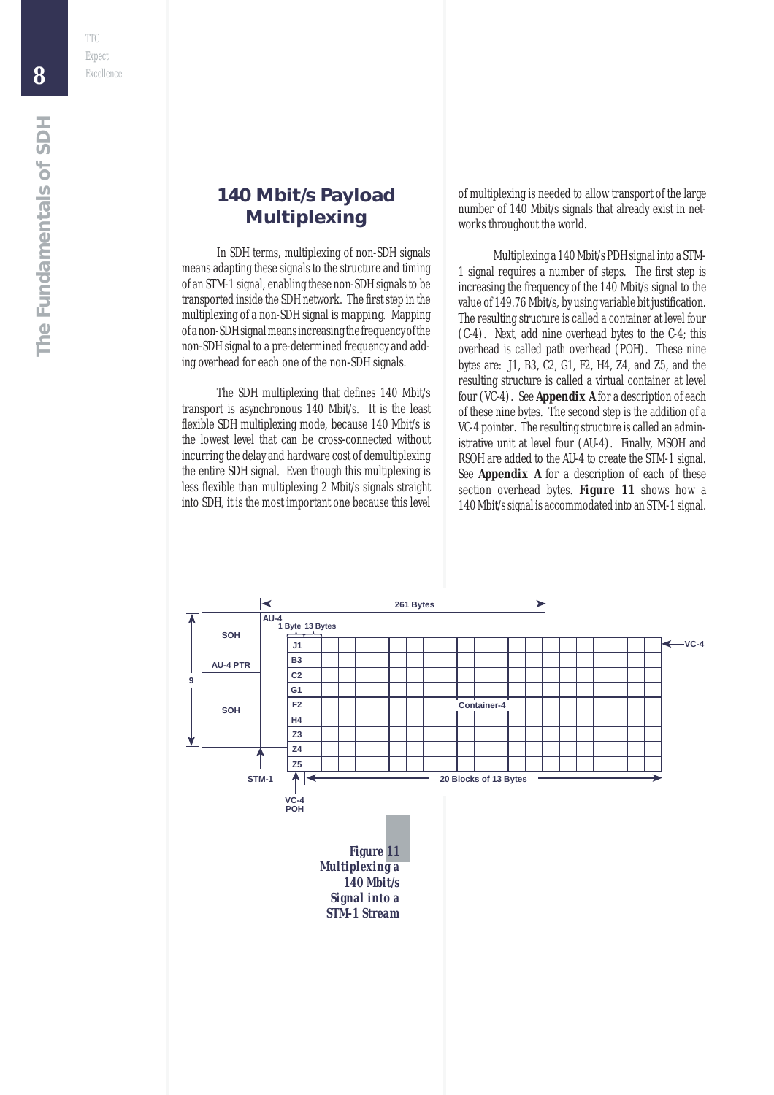#### **140 Mbit/s Payload Multiplexing**

In SDH terms, multiplexing of non-SDH signals means adapting these signals to the structure and timing of an STM-1 signal, enabling these non-SDH signals to be transported inside the SDH network. The first step in the multiplexing of a non-SDH signal is *mapping*. Mapping of a non-SDH signal means increasing the frequency of the non-SDH signal to a pre-determined frequency and adding overhead for each one of the non-SDH signals.

The SDH multiplexing that defines 140 Mbit/s transport is asynchronous 140 Mbit/s. It is the least flexible SDH multiplexing mode, because 140 Mbit/s is the lowest level that can be cross-connected without incurring the delay and hardware cost of demultiplexing the entire SDH signal. Even though this multiplexing is less flexible than multiplexing 2 Mbit/s signals straight into SDH, it is the most important one because this level of multiplexing is needed to allow transport of the large number of 140 Mbit/s signals that already exist in networks throughout the world.

Multiplexing a 140 Mbit/s PDH signal into a STM-1 signal requires a number of steps. The first step is increasing the frequency of the 140 Mbit/s signal to the value of 149.76 Mbit/s, by using variable bit justification. The resulting structure is called a container at level four (C-4). Next, add nine overhead bytes to the C-4; this overhead is called path overhead (POH). These nine bytes are: J1, B3, C2, G1, F2, H4, Z4, and Z5, and the resulting structure is called a virtual container at level four (VC-4). See *Appendix A* for a description of each of these nine bytes. The second step is the addition of a VC-4 pointer. The resulting structure is called an administrative unit at level four (AU-4). Finally, MSOH and RSOH are added to the AU-4 to create the STM-1 signal. See *Appendix A* for a description of each of these section overhead bytes. *Figure 11* shows how a 140 Mbit/s signal is accommodated into an STM-1 signal.

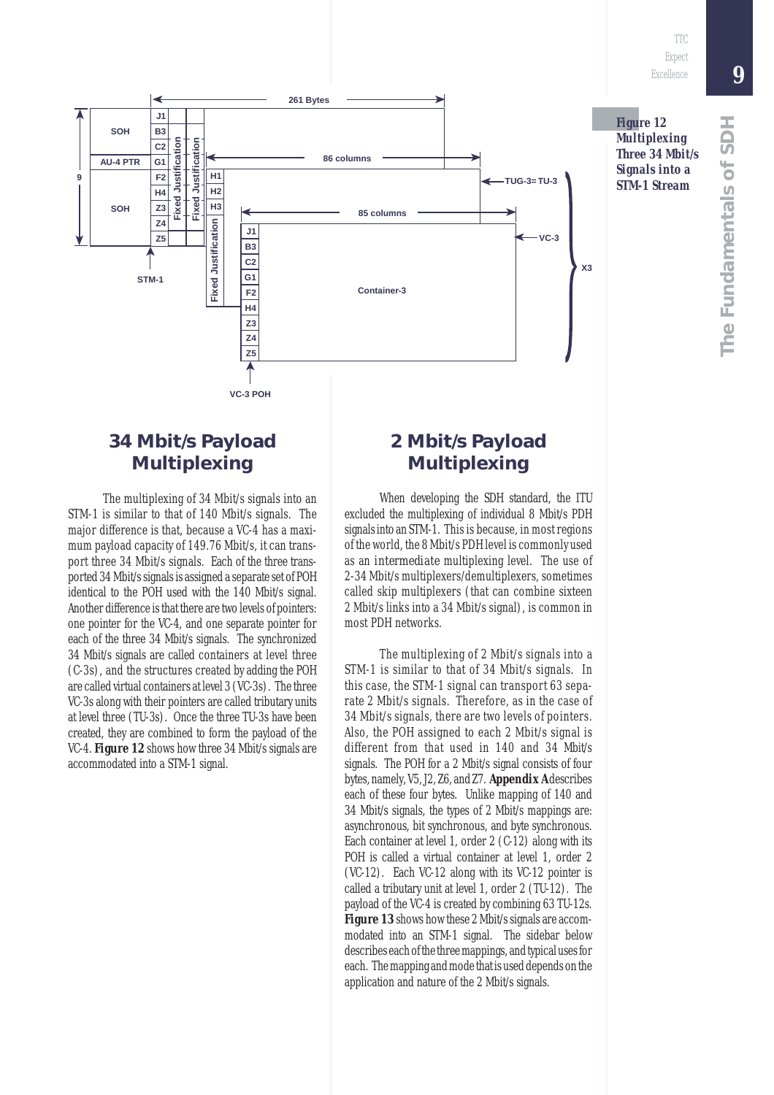

#### **34 Mbit/s Payload Multiplexing**

The multiplexing of 34 Mbit/s signals into an STM-1 is similar to that of 140 Mbit/s signals. The major difference is that, because a VC-4 has a maximum payload capacity of 149.76 Mbit/s, it can transport three 34 Mbit/s signals. Each of the three transported 34 Mbit/s signals is assigned a separate set of POH identical to the POH used with the 140 Mbit/s signal. Another difference is that there are two levels of pointers: one pointer for the VC-4, and one separate pointer for each of the three 34 Mbit/s signals. The synchronized 34 Mbit/s signals are called containers at level three (C-3s), and the structures created by adding the POH are called virtual containers at level 3 (VC-3s). The three VC-3s along with their pointers are called tributary units at level three (TU-3s). Once the three TU-3s have been created, they are combined to form the payload of the VC-4. *Figure 12* shows how three 34 Mbit/s signals are accommodated into a STM-1 signal.

#### **2 Mbit/s Payload Multiplexing**

When developing the SDH standard, the ITU excluded the multiplexing of individual 8 Mbit/s PDH signals into an STM-1. This is because, in most regions of the world, the 8 Mbit/s PDH level is commonly used as an *intermediate* multiplexing level. The use of 2-34 Mbit/s multiplexers/demultiplexers, sometimes called skip multiplexers (that can combine sixteen 2 Mbit/s links into a 34 Mbit/s signal), is common in most PDH networks.

The multiplexing of 2 Mbit/s signals into a STM-1 is similar to that of 34 Mbit/s signals. In this case, the STM-1 signal can transport 63 separate 2 Mbit/s signals. Therefore, as in the case of 34 Mbit/s signals, there are two levels of pointers. Also, the POH assigned to each 2 Mbit/s signal is different from that used in 140 and 34 Mbit/s signals. The POH for a 2 Mbit/s signal consists of four bytes, namely, V5, J2, Z6, and Z7. *Appendix A* describes each of these four bytes. Unlike mapping of 140 and 34 Mbit/s signals, the types of 2 Mbit/s mappings are: asynchronous, bit synchronous, and byte synchronous. Each container at level 1, order 2 (C-12) along with its POH is called a virtual container at level 1, order 2 (VC-12). Each VC-12 along with its VC-12 pointer is called a tributary unit at level 1, order 2 (TU-12). The payload of the VC-4 is created by combining 63 TU-12s. *Figure 13* shows how these 2 Mbit/s signals are accommodated into an STM-1 signal. The sidebar below describes each of the three mappings, and typical uses for each. The mapping and mode that is used depends on the application and nature of the 2 Mbit/s signals.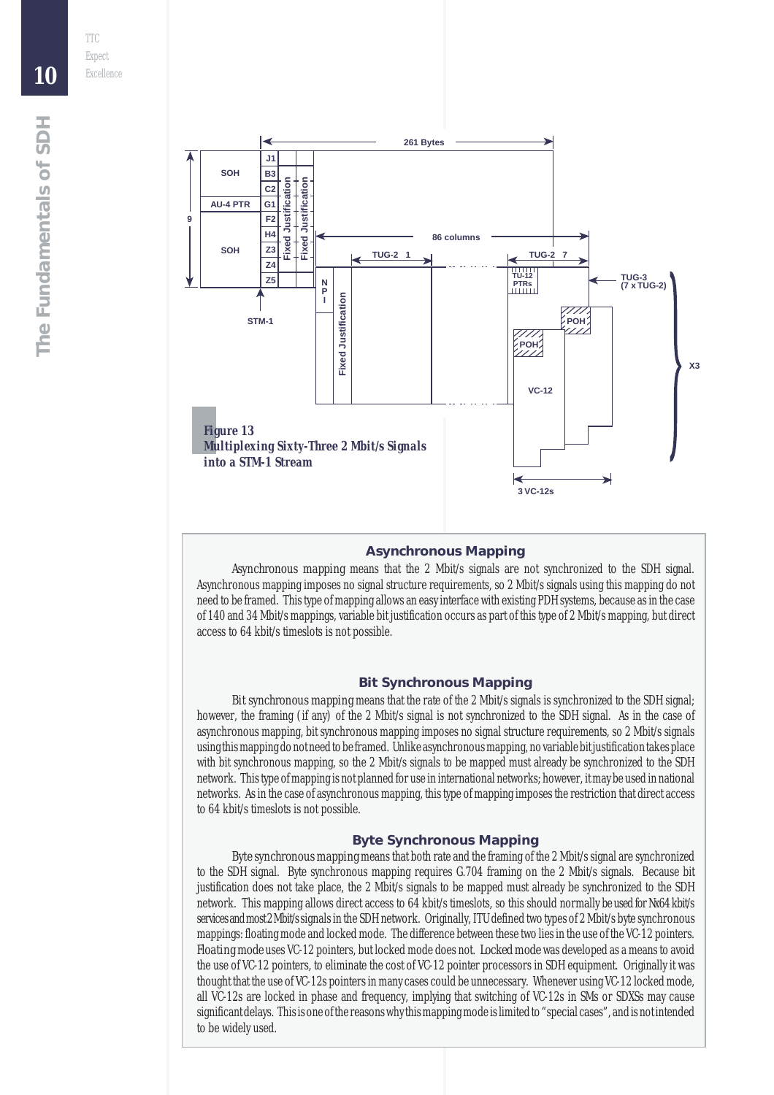

#### **Asynchronous Mapping**

*Asynchronous mapping* means that the 2 Mbit/s signals are not synchronized to the SDH signal. Asynchronous mapping imposes no signal structure requirements, so 2 Mbit/s signals using this mapping do not need to be framed. This type of mapping allows an easy interface with existing PDH systems, because as in the case of 140 and 34 Mbit/s mappings, variable bit justification occurs as part of this type of 2 Mbit/s mapping, but direct access to 64 kbit/s timeslots is not possible.

#### **Bit Synchronous Mapping**

*Bit synchronous mapping* means that the rate of the 2 Mbit/s signals is synchronized to the SDH signal; however, the framing (if any) of the 2 Mbit/s signal is not synchronized to the SDH signal. As in the case of asynchronous mapping, bit synchronous mapping imposes no signal structure requirements, so 2 Mbit/s signals using this mapping do not need to be framed. Unlike asynchronous mapping, no variable bit justification takes place with bit synchronous mapping, so the 2 Mbit/s signals to be mapped must already be synchronized to the SDH network. This type of mapping is not planned for use in international networks; however, it may be used in national networks. As in the case of asynchronous mapping, this type of mapping imposes the restriction that direct access to 64 kbit/s timeslots is not possible.

#### **Byte Synchronous Mapping**

*Byte synchronous mapping* means that both rate and the framing of the 2 Mbit/s signal are synchronized to the SDH signal. Byte synchronous mapping requires G.704 framing on the 2 Mbit/s signals. Because bit justification does not take place, the 2 Mbit/s signals to be mapped must already be synchronized to the SDH network. This mapping allows direct access to 64 kbit/s timeslots, so this should normally be used for Nx64 kbit/s services and most 2 Mbit/s signals in the SDH network. Originally, ITU defined two types of 2 Mbit/s byte synchronous mappings: floating mode and locked mode. The difference between these two lies in the use of the VC-12 pointers. *Floating mode* uses VC-12 pointers, but locked mode does not. *Locked mode* was developed as a means to avoid the use of VC-12 pointers, to eliminate the cost of VC-12 pointer processors in SDH equipment. Originally it was thought that the use of VC-12s pointers in many cases could be unnecessary. Whenever using VC-12 locked mode, all VC-12s are locked in phase and frequency, implying that switching of VC-12s in SMs or SDXSs may cause significant delays. This is one of the reasons why this mapping mode is limited to "special cases", and is not intended to be widely used.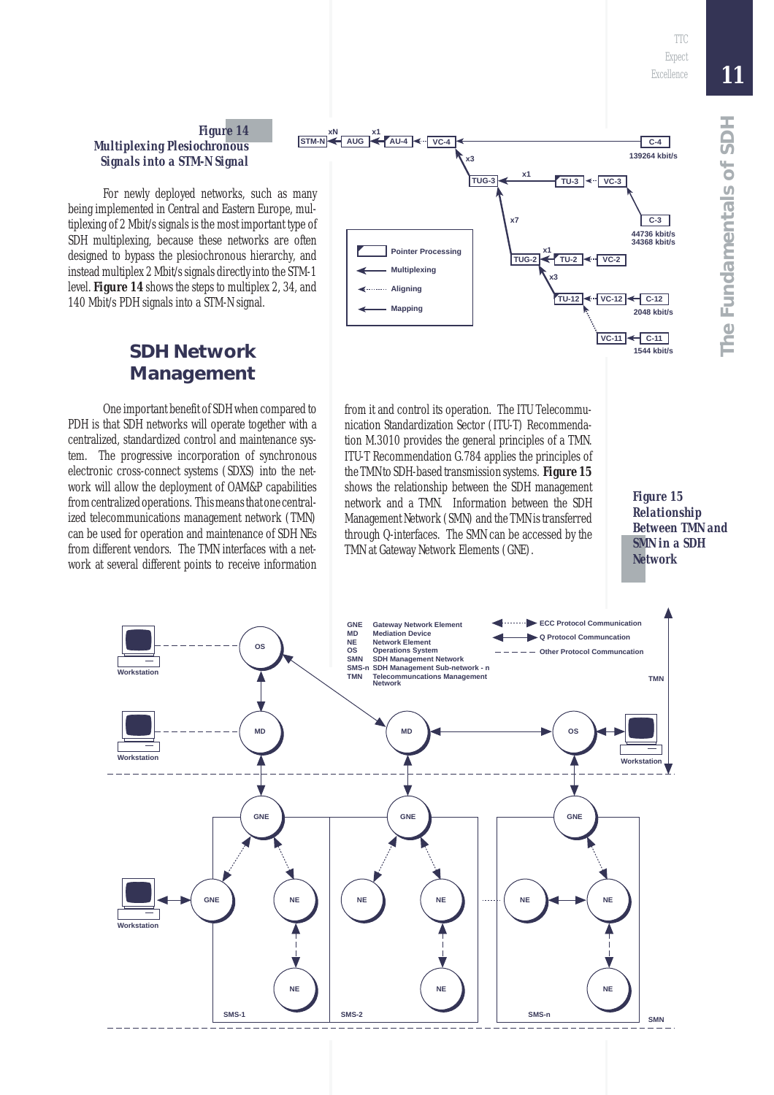#### *Figure 14 Multiplexing Plesiochronous Signals into a STM-N Signal*

For newly deployed networks, such as many being implemented in Central and Eastern Europe, multiplexing of 2 Mbit/s signals is the most important type of SDH multiplexing, because these networks are often designed to bypass the plesiochronous hierarchy, and instead multiplex 2 Mbit/s signals directly into the STM-1 level. *Figure 14* shows the steps to multiplex 2, 34, and 140 Mbit/s PDH signals into a STM-N signal.

#### **SDH Network Management**

One important benefit of SDH when compared to PDH is that SDH networks will operate together with a centralized, standardized control and maintenance system. The progressive incorporation of synchronous electronic cross-connect systems (SDXS) into the network will allow the deployment of OAM&P capabilities from centralized operations. This means that one centralized telecommunications management network (TMN) can be used for operation and maintenance of SDH NEs from different vendors. The TMN interfaces with a network at several different points to receive information



from it and control its operation. The ITU Telecommunication Standardization Sector (ITU-T) Recommendation M.3010 provides the general principles of a TMN. ITU-T Recommendation G.784 applies the principles of the TMN to SDH-based transmission systems. *Figure 15* shows the relationship between the SDH management network and a TMN. Information between the SDH Management Network (SMN) and the TMN is transferred through Q-interfaces. The SMN can be accessed by the TMN at Gateway Network Elements (GNE).

*Figure 15 Relationship Between TMN and SMN in a SDH Network*

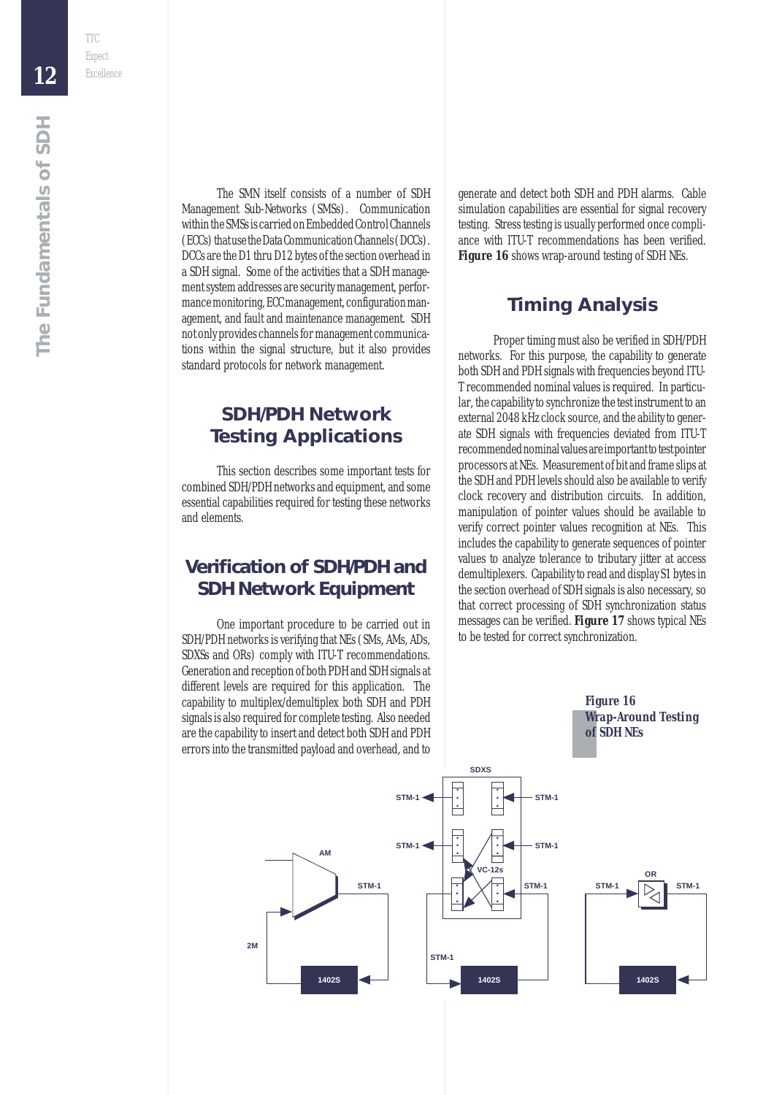The SMN itself consists of a number of SDH Management Sub-Networks (SMSs). Communication within the SMSs is carried on Embedded Control Channels (ECCs) that use the Data Communication Channels (DCCs). DCCs are the D1 thru D12 bytes of the section overhead in a SDH signal. Some of the activities that a SDH management system addresses are security management, performance monitoring, ECC management, configuration management, and fault and maintenance management. SDH not only provides channels for management communications within the signal structure, but it also provides standard protocols for network management.

#### **SDH/PDH Network Testing Applications**

This section describes some important tests for combined SDH/PDH networks and equipment, and some essential capabilities required for testing these networks and elements.

#### **Verification of SDH/PDH and SDH Network Equipment**

One important procedure to be carried out in SDH/PDH networks is verifying that NEs (SMs, AMs, ADs, SDXSs and ORs) comply with ITU-T recommendations. Generation and reception of both PDH and SDH signals at different levels are required for this application. The capability to multiplex/demultiplex both SDH and PDH signals is also required for complete testing. Also needed are the capability to insert and detect both SDH and PDH errors into the transmitted payload and overhead, and to generate and detect both SDH and PDH alarms. Cable simulation capabilities are essential for signal recovery testing. Stress testing is usually performed once compliance with ITU-T recommendations has been verified. **Figure 16** shows wrap-around testing of SDH NEs.

#### **Timing Analysis**

Proper timing must also be verified in SDH/PDH networks. For this purpose, the capability to generate both SDH and PDH signals with frequencies beyond ITU-T recommended nominal values is required. In particular, the capability to synchronize the test instrument to an external 2048 kHz clock source, and the ability to generate SDH signals with frequencies deviated from ITU-T recommended nominal values are important to test pointer processors at NEs. Measurement of bit and frame slips at the SDH and PDH levels should also be available to verify clock recovery and distribution circuits. In addition, manipulation of pointer values should be available to verify correct pointer values recognition at NEs. This includes the capability to generate sequences of pointer values to analyze tolerance to tributary jitter at access demultiplexers. Capability to read and display S1 bytes in the section overhead of SDH signals is also necessary, so that correct processing of SDH synchronization status messages can be verified. *Figure 17* shows typical NEs to be tested for correct synchronization.

> *Figure 16 Wrap-Around Testing of SDH NEs*



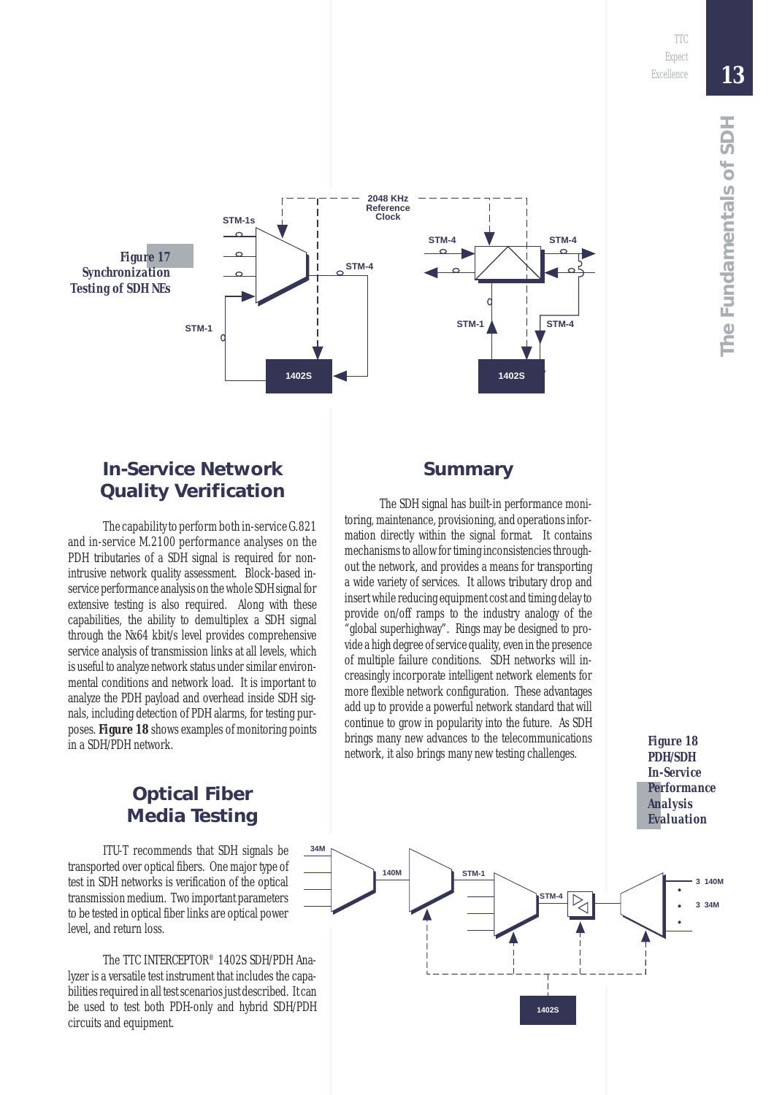*Figure 18 PDH/SDH In-Service Performance Analysis*

*13*



#### **In-Service Network Quality Verification**

The capability to perform both in-service G.821 and in-service M.2100 performance analyses on the PDH tributaries of a SDH signal is required for nonintrusive network quality assessment. Block-based inservice performance analysis on the whole SDH signal for extensive testing is also required. Along with these capabilities, the ability to demultiplex a SDH signal through the Nx64 kbit/s level provides comprehensive service analysis of transmission links at all levels, which is useful to analyze network status under similar environmental conditions and network load. It is important to analyze the PDH payload and overhead inside SDH signals, including detection of PDH alarms, for testing purposes. *Figure 18* shows examples of monitoring points in a SDH/PDH network.

#### **Optical Fiber Media Testing**

ITU-T recommends that SDH signals be transported over optical fibers. One major type of test in SDH networks is verification of the optical transmission medium. Two important parameters to be tested in optical fiber links are optical power level, and return loss.

The TTC INTERCEPTOR® 1402S SDH/PDH Analyzer is a versatile test instrument that includes the capabilities required in all test scenarios just described. It can be used to test both PDH-only and hybrid SDH/PDH circuits and equipment.

#### **Summary**

The SDH signal has built-in performance monitoring, maintenance, provisioning, and operations information directly within the signal format. It contains mechanisms to allow for timing inconsistencies throughout the network, and provides a means for transporting a wide variety of services. It allows tributary drop and insert while reducing equipment cost and timing delay to provide on/off ramps to the industry analogy of the "global superhighway". Rings may be designed to provide a high degree of service quality, even in the presence of multiple failure conditions. SDH networks will increasingly incorporate intelligent network elements for more flexible network configuration. These advantages add up to provide a powerful network standard that will continue to grow in popularity into the future. As SDH brings many new advances to the telecommunications network, it also brings many new testing challenges.

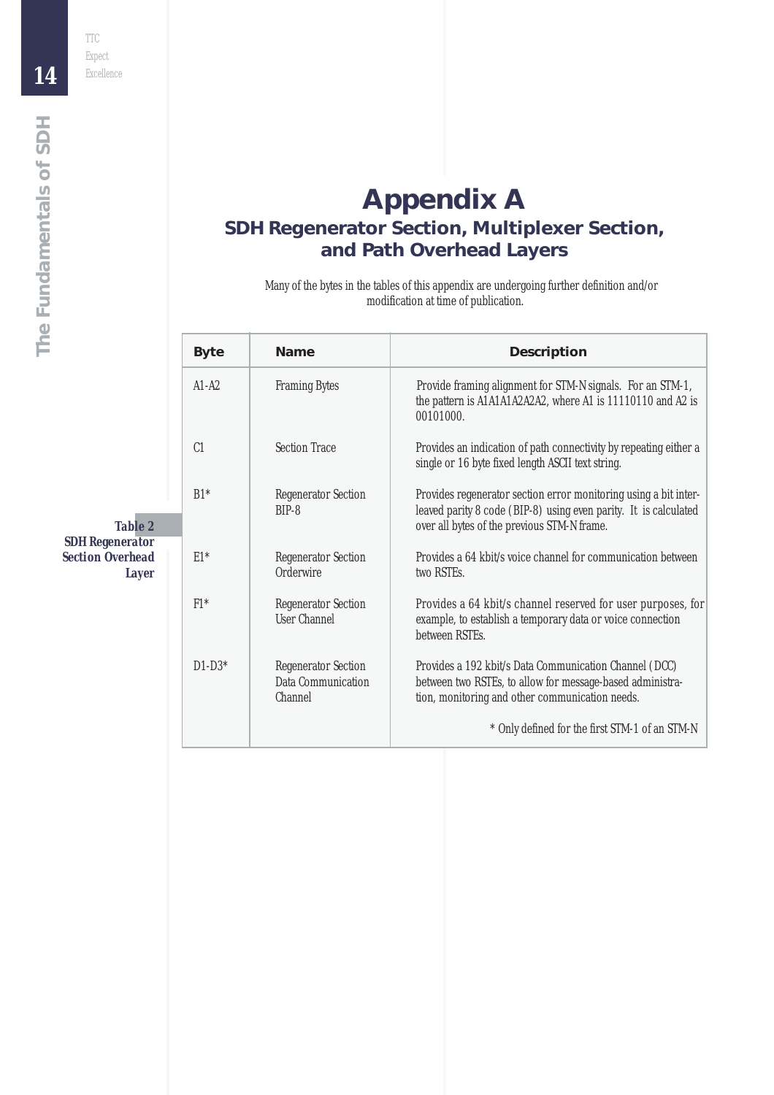#### **Appendix A SDH Regenerator Section, Multiplexer Section, and Path Overhead Layers**

Many of the bytes in the tables of this appendix are undergoing further definition and/or modification at time of publication.

|                                                                   | <b>Byte</b>    | <b>Name</b>                                                               | <b>Description</b>                                                                                                                                                                  |
|-------------------------------------------------------------------|----------------|---------------------------------------------------------------------------|-------------------------------------------------------------------------------------------------------------------------------------------------------------------------------------|
|                                                                   | $A1-A2$        | <b>Framing Bytes</b>                                                      | Provide framing alignment for STM-N signals. For an STM-1,<br>the pattern is A1A1A1A2A2A2, where A1 is 11110110 and A2 is<br>00101000.                                              |
|                                                                   | C <sub>1</sub> | <b>Section Trace</b>                                                      | Provides an indication of path connectivity by repeating either a<br>single or 16 byte fixed length ASCII text string.                                                              |
| <b>Table 2</b>                                                    | $B1*$          | <b>Regenerator Section</b><br>$BIP-8$                                     | Provides regenerator section error monitoring using a bit inter-<br>leaved parity 8 code (BIP-8) using even parity. It is calculated<br>over all bytes of the previous STM-N frame. |
| <b>SDH Regenerator</b><br><b>Section Overhead</b><br><b>Layer</b> | $E1*$          | <b>Regenerator Section</b><br>Orderwire                                   | Provides a 64 kbit/s voice channel for communication between<br>two RSTEs.                                                                                                          |
|                                                                   | $F1*$          | <b>Regenerator Section</b><br><b>User Channel</b>                         | Provides a 64 kbit/s channel reserved for user purposes, for<br>example, to establish a temporary data or voice connection<br>between RSTEs.                                        |
|                                                                   | $D1-D3*$       | <b>Regenerator Section</b><br><b>Data Communication</b><br><b>Channel</b> | Provides a 192 kbit/s Data Communication Channel (DCC)<br>between two RSTEs, to allow for message-based administra-<br>tion, monitoring and other communication needs.              |
|                                                                   |                |                                                                           | * Only defined for the first STM-1 of an STM-N                                                                                                                                      |

*14*

*The Fundamentals of SDH*

The Fundamentals of SDH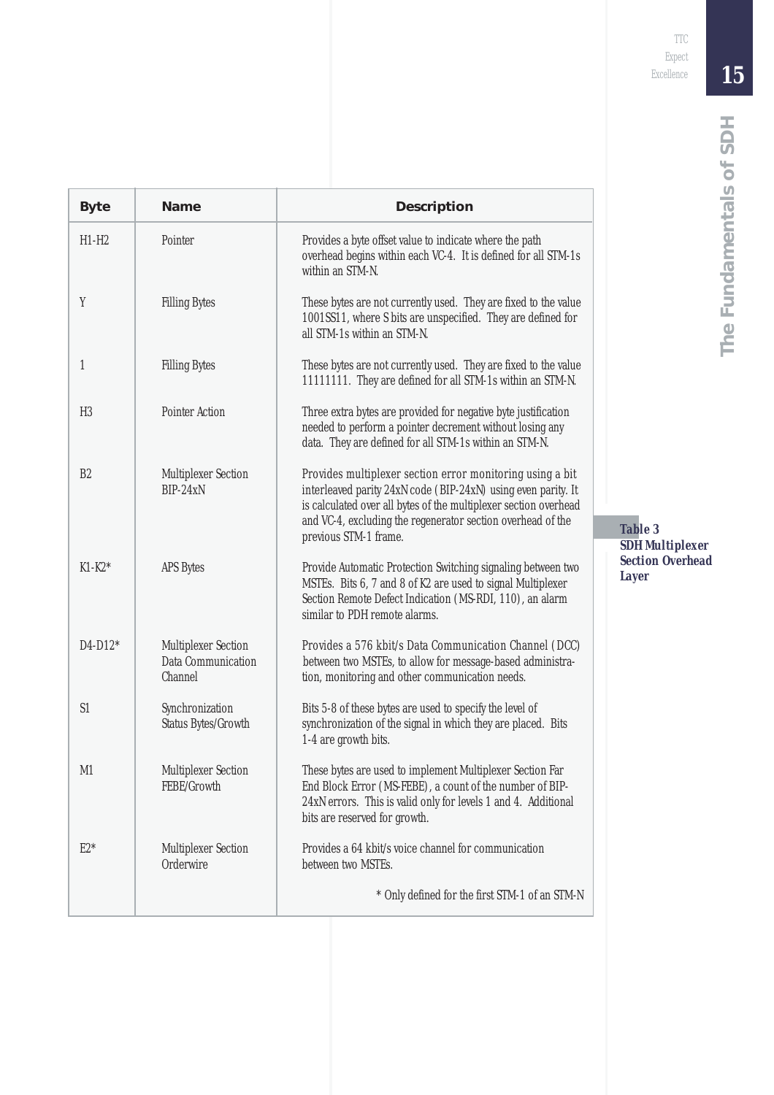| <b>Byte</b> | <b>Name</b>                                                               | <b>Description</b>                                                                                                                                                                                                                                                                     |  |
|-------------|---------------------------------------------------------------------------|----------------------------------------------------------------------------------------------------------------------------------------------------------------------------------------------------------------------------------------------------------------------------------------|--|
| $H1-H2$     | Pointer                                                                   | Provides a byte offset value to indicate where the path<br>overhead begins within each VC-4. It is defined for all STM-1s<br>within an STM-N.                                                                                                                                          |  |
| Y           | <b>Filling Bytes</b>                                                      | These bytes are not currently used. They are fixed to the value<br>1001SS11, where S bits are unspecified. They are defined for<br>all STM-1s within an STM-N.                                                                                                                         |  |
| 1           | <b>Filling Bytes</b>                                                      | These bytes are not currently used. They are fixed to the value<br>11111111. They are defined for all STM-1s within an STM-N.                                                                                                                                                          |  |
| H3          | <b>Pointer Action</b>                                                     | Three extra bytes are provided for negative byte justification<br>needed to perform a pointer decrement without losing any<br>data. They are defined for all STM-1s within an STM-N.                                                                                                   |  |
| B2          | <b>Multiplexer Section</b><br>BIP-24xN                                    | Provides multiplexer section error monitoring using a bit<br>interleaved parity 24xN code (BIP-24xN) using even parity. It<br>is calculated over all bytes of the multiplexer section overhead<br>and VC-4, excluding the regenerator section overhead of the<br>previous STM-1 frame. |  |
| K1-K2*      | <b>APS</b> Bytes                                                          | Provide Automatic Protection Switching signaling between two<br>MSTEs. Bits 6, 7 and 8 of K2 are used to signal Multiplexer<br>Section Remote Defect Indication (MS-RDI, 110), an alarm<br>similar to PDH remote alarms.                                                               |  |
| D4-D12*     | <b>Multiplexer Section</b><br><b>Data Communication</b><br><b>Channel</b> | Provides a 576 kbit/s Data Communication Channel (DCC)<br>between two MSTEs, to allow for message-based administra-<br>tion, monitoring and other communication needs.                                                                                                                 |  |
| S1          | Synchronization<br><b>Status Bytes/Growth</b>                             | Bits 5-8 of these bytes are used to specify the level of<br>synchronization of the signal in which they are placed. Bits<br>1-4 are growth bits.                                                                                                                                       |  |
| M1          | <b>Multiplexer Section</b><br>FEBE/Growth                                 | These bytes are used to implement Multiplexer Section Far<br>End Block Error (MS-FEBE), a count of the number of BIP-<br>24xN errors. This is valid only for levels 1 and 4. Additional<br>bits are reserved for growth.                                                               |  |
| $E2*$       | <b>Multiplexer Section</b><br><b>Orderwire</b>                            | Provides a 64 kbit/s voice channel for communication<br>between two MSTEs.                                                                                                                                                                                                             |  |
|             |                                                                           | * Only defined for the first STM-1 of an STM-N                                                                                                                                                                                                                                         |  |
|             |                                                                           |                                                                                                                                                                                                                                                                                        |  |

*Table 3 SDH Multiplexer Section Overhead Layer*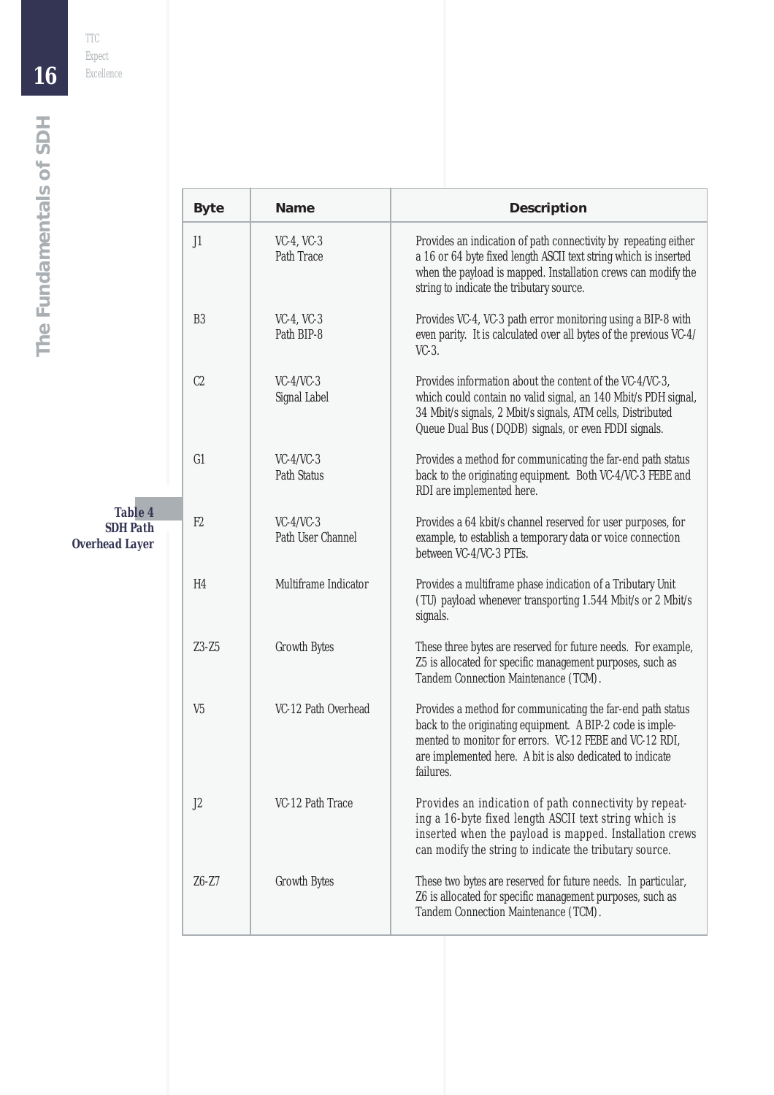|                                                            | <b>Byte</b>    | <b>Name</b>                             | <b>Description</b>                                                                                                                                                                                                                                            |
|------------------------------------------------------------|----------------|-----------------------------------------|---------------------------------------------------------------------------------------------------------------------------------------------------------------------------------------------------------------------------------------------------------------|
|                                                            | J1             | $VC-4$ , $VC-3$<br><b>Path Trace</b>    | Provides an indication of path connectivity by repeating either<br>a 16 or 64 byte fixed length ASCII text string which is inserted<br>when the payload is mapped. Installation crews can modify the<br>string to indicate the tributary source.              |
|                                                            | B <sub>3</sub> | $VC-4$ , $VC-3$<br>Path BIP-8           | Provides VC-4, VC-3 path error monitoring using a BIP-8 with<br>even parity. It is calculated over all bytes of the previous VC-4/<br>$VC-3$ .                                                                                                                |
|                                                            | C <sub>2</sub> | $VC-4/VC-3$<br><b>Signal Label</b>      | Provides information about the content of the VC-4/VC-3,<br>which could contain no valid signal, an 140 Mbit/s PDH signal,<br>34 Mbit/s signals, 2 Mbit/s signals, ATM cells, Distributed<br>Queue Dual Bus (DQDB) signals, or even FDDI signals.             |
|                                                            | G1             | $VC-4/VC-3$<br><b>Path Status</b>       | Provides a method for communicating the far-end path status<br>back to the originating equipment. Both VC-4/VC-3 FEBE and<br>RDI are implemented here.                                                                                                        |
| <b>Table 4</b><br><b>SDH Path</b><br><b>Overhead Layer</b> | F2             | $VC-4/VC-3$<br><b>Path User Channel</b> | Provides a 64 kbit/s channel reserved for user purposes, for<br>example, to establish a temporary data or voice connection<br>between VC-4/VC-3 PTEs.                                                                                                         |
|                                                            | H <sub>4</sub> | Multiframe Indicator                    | Provides a multiframe phase indication of a Tributary Unit<br>(TU) payload whenever transporting 1.544 Mbit/s or 2 Mbit/s<br>signals.                                                                                                                         |
|                                                            | $Z3-Z5$        | <b>Growth Bytes</b>                     | These three bytes are reserved for future needs. For example,<br>Z5 is allocated for specific management purposes, such as<br>Tandem Connection Maintenance (TCM).                                                                                            |
|                                                            | V <sub>5</sub> | VC-12 Path Overhead                     | Provides a method for communicating the far-end path status<br>back to the originating equipment. A BIP-2 code is imple-<br>mented to monitor for errors. VC-12 FEBE and VC-12 RDI,<br>are implemented here. A bit is also dedicated to indicate<br>failures. |
|                                                            | J2             | VC-12 Path Trace                        | Provides an indication of path connectivity by repeat-<br>ing a 16-byte fixed length ASCII text string which is<br>inserted when the payload is mapped. Installation crews<br>can modify the string to indicate the tributary source.                         |
|                                                            | $Z6-Z7$        | <b>Growth Bytes</b>                     | These two bytes are reserved for future needs. In particular,<br>Z6 is allocated for specific management purposes, such as<br>Tandem Connection Maintenance (TCM).                                                                                            |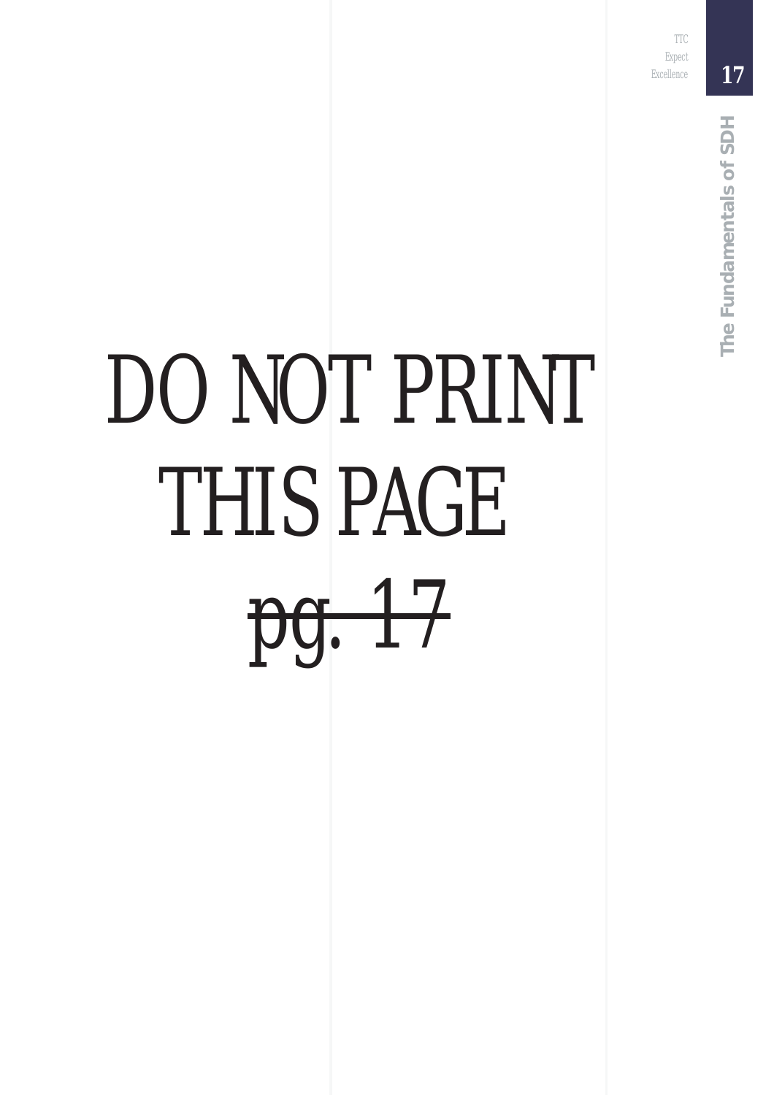TTC Expect Excellence

*17*

# DO NOT PRINT THIS PAGE pg. 17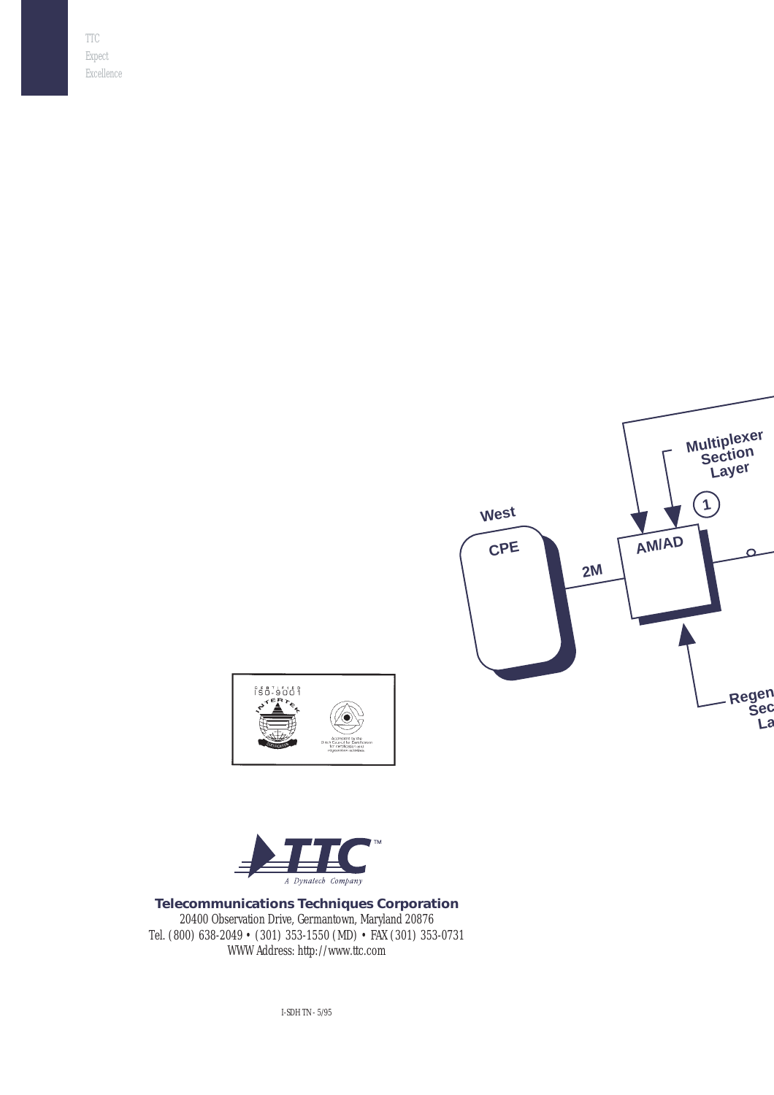





**Telecommunications Techniques Corporation** 20400 Observation Drive, Germantown, Maryland 20876 Tel. (800) 638-2049 • (301) 353-1550 (MD) • FAX (301) 353-0731 WWW Address: http://www.ttc.com

I-SDH TN - 5/95